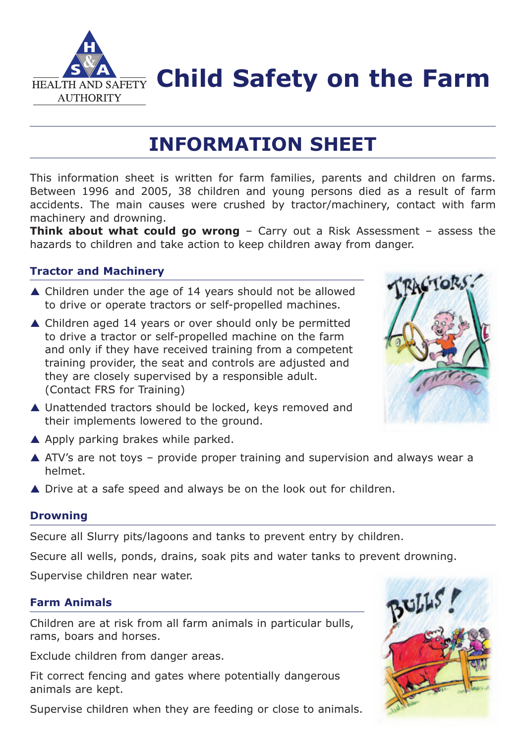

**FIEALTH AND SAFETY Child Safety on the Farm** 

# **INFORMATION SHEET**

This information sheet is written for farm families, parents and children on farms. Between 1996 and 2005, 38 children and young persons died as a result of farm accidents. The main causes were crushed by tractor/machinery, contact with farm machinery and drowning.

**Think about what could go wrong** - Carry out a Risk Assessment - assess the hazards to children and take action to keep children away from danger.

# **Tractor and Machinery**

- ▲ Children under the age of 14 years should not be allowed to drive or operate tractors or self-propelled machines.
- ▲ Children aged 14 years or over should only be permitted to drive a tractor or self-propelled machine on the farm and only if they have received training from a competent training provider, the seat and controls are adjusted and they are closely supervised by a responsible adult. (Contact FRS for Training)
- ZACTORS.
- ▲ Unattended tractors should be locked, keys removed and their implements lowered to the ground.
- A Apply parking brakes while parked.
- ▲ ATV's are not toys provide proper training and supervision and always wear a helmet.
- ▲ Drive at a safe speed and always be on the look out for children.

## **Drowning**

Secure all Slurry pits/lagoons and tanks to prevent entry by children.

Secure all wells, ponds, drains, soak pits and water tanks to prevent drowning.

Supervise children near water.

# **Farm Animals**

Children are at risk from all farm animals in particular bulls, rams, boars and horses.

Exclude children from danger areas.

Fit correct fencing and gates where potentially dangerous animals are kept.

Supervise children when they are feeding or close to animals.